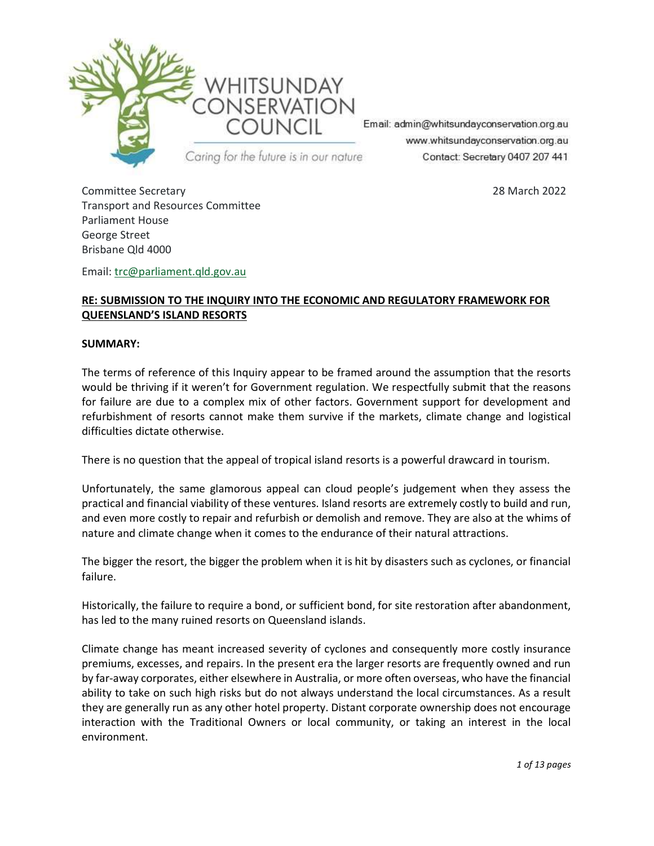

Email: admin@whitsundayconservation.org.au www.whitsundayconservation.org.au Contact: Secretary 0407 207 441

Committee Secretary 28 March 2022 Transport and Resources Committee Parliament House George Street Brisbane Qld 4000

Email: trc@parliament.qld.gov.au

# RE: SUBMISSION TO THE INQUIRY INTO THE ECONOMIC AND REGULATORY FRAMEWORK FOR QUEENSLAND'S ISLAND RESORTS

#### SUMMARY:

The terms of reference of this Inquiry appear to be framed around the assumption that the resorts would be thriving if it weren't for Government regulation. We respectfully submit that the reasons for failure are due to a complex mix of other factors. Government support for development and refurbishment of resorts cannot make them survive if the markets, climate change and logistical difficulties dictate otherwise.

There is no question that the appeal of tropical island resorts is a powerful drawcard in tourism.

Unfortunately, the same glamorous appeal can cloud people's judgement when they assess the practical and financial viability of these ventures. Island resorts are extremely costly to build and run, and even more costly to repair and refurbish or demolish and remove. They are also at the whims of nature and climate change when it comes to the endurance of their natural attractions.

The bigger the resort, the bigger the problem when it is hit by disasters such as cyclones, or financial failure.

Historically, the failure to require a bond, or sufficient bond, for site restoration after abandonment, has led to the many ruined resorts on Queensland islands.

Climate change has meant increased severity of cyclones and consequently more costly insurance premiums, excesses, and repairs. In the present era the larger resorts are frequently owned and run by far-away corporates, either elsewhere in Australia, or more often overseas, who have the financial ability to take on such high risks but do not always understand the local circumstances. As a result they are generally run as any other hotel property. Distant corporate ownership does not encourage interaction with the Traditional Owners or local community, or taking an interest in the local environment.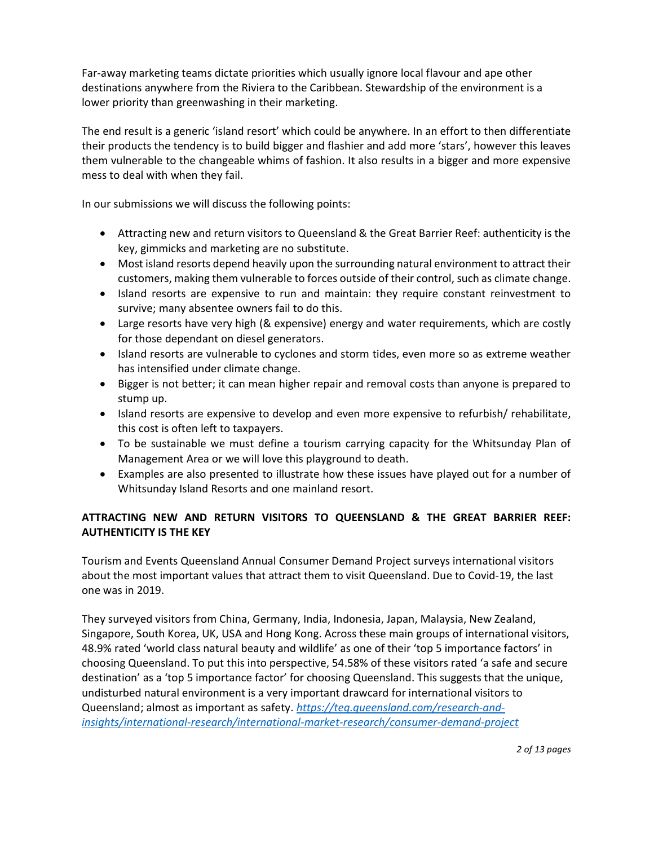Far-away marketing teams dictate priorities which usually ignore local flavour and ape other destinations anywhere from the Riviera to the Caribbean. Stewardship of the environment is a lower priority than greenwashing in their marketing.

The end result is a generic 'island resort' which could be anywhere. In an effort to then differentiate their products the tendency is to build bigger and flashier and add more 'stars', however this leaves them vulnerable to the changeable whims of fashion. It also results in a bigger and more expensive mess to deal with when they fail.

In our submissions we will discuss the following points:

- Attracting new and return visitors to Queensland & the Great Barrier Reef: authenticity is the key, gimmicks and marketing are no substitute.
- Most island resorts depend heavily upon the surrounding natural environment to attract their customers, making them vulnerable to forces outside of their control, such as climate change.
- Island resorts are expensive to run and maintain: they require constant reinvestment to survive; many absentee owners fail to do this.
- Large resorts have very high (& expensive) energy and water requirements, which are costly for those dependant on diesel generators.
- Island resorts are vulnerable to cyclones and storm tides, even more so as extreme weather has intensified under climate change.
- Bigger is not better; it can mean higher repair and removal costs than anyone is prepared to stump up.
- Island resorts are expensive to develop and even more expensive to refurbish/ rehabilitate, this cost is often left to taxpayers.
- To be sustainable we must define a tourism carrying capacity for the Whitsunday Plan of Management Area or we will love this playground to death.
- Examples are also presented to illustrate how these issues have played out for a number of Whitsunday Island Resorts and one mainland resort.

# ATTRACTING NEW AND RETURN VISITORS TO QUEENSLAND & THE GREAT BARRIER REEF: AUTHENTICITY IS THE KEY

Tourism and Events Queensland Annual Consumer Demand Project surveys international visitors about the most important values that attract them to visit Queensland. Due to Covid-19, the last one was in 2019.

They surveyed visitors from China, Germany, India, Indonesia, Japan, Malaysia, New Zealand, Singapore, South Korea, UK, USA and Hong Kong. Across these main groups of international visitors, 48.9% rated 'world class natural beauty and wildlife' as one of their 'top 5 importance factors' in choosing Queensland. To put this into perspective, 54.58% of these visitors rated 'a safe and secure destination' as a 'top 5 importance factor' for choosing Queensland. This suggests that the unique, undisturbed natural environment is a very important drawcard for international visitors to Queensland; almost as important as safety. https://teq.queensland.com/research-andinsights/international-research/international-market-research/consumer-demand-project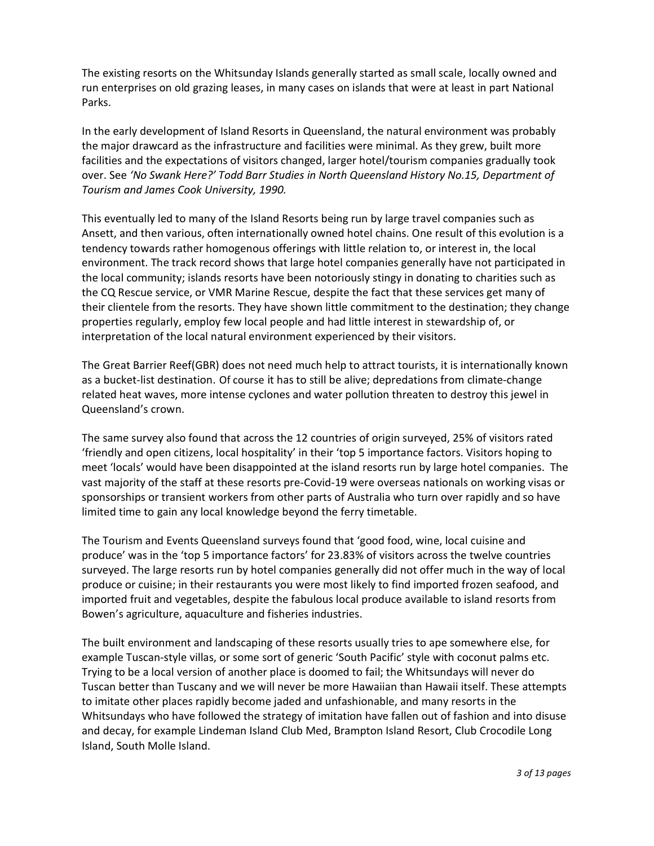The existing resorts on the Whitsunday Islands generally started as small scale, locally owned and run enterprises on old grazing leases, in many cases on islands that were at least in part National Parks.

In the early development of Island Resorts in Queensland, the natural environment was probably the major drawcard as the infrastructure and facilities were minimal. As they grew, built more facilities and the expectations of visitors changed, larger hotel/tourism companies gradually took over. See 'No Swank Here?' Todd Barr Studies in North Queensland History No.15, Department of Tourism and James Cook University, 1990.

This eventually led to many of the Island Resorts being run by large travel companies such as Ansett, and then various, often internationally owned hotel chains. One result of this evolution is a tendency towards rather homogenous offerings with little relation to, or interest in, the local environment. The track record shows that large hotel companies generally have not participated in the local community; islands resorts have been notoriously stingy in donating to charities such as the CQ Rescue service, or VMR Marine Rescue, despite the fact that these services get many of their clientele from the resorts. They have shown little commitment to the destination; they change properties regularly, employ few local people and had little interest in stewardship of, or interpretation of the local natural environment experienced by their visitors.

The Great Barrier Reef(GBR) does not need much help to attract tourists, it is internationally known as a bucket-list destination. Of course it has to still be alive; depredations from climate-change related heat waves, more intense cyclones and water pollution threaten to destroy this jewel in Queensland's crown.

The same survey also found that across the 12 countries of origin surveyed, 25% of visitors rated 'friendly and open citizens, local hospitality' in their 'top 5 importance factors. Visitors hoping to meet 'locals' would have been disappointed at the island resorts run by large hotel companies. The vast majority of the staff at these resorts pre-Covid-19 were overseas nationals on working visas or sponsorships or transient workers from other parts of Australia who turn over rapidly and so have limited time to gain any local knowledge beyond the ferry timetable.

The Tourism and Events Queensland surveys found that 'good food, wine, local cuisine and produce' was in the 'top 5 importance factors' for 23.83% of visitors across the twelve countries surveyed. The large resorts run by hotel companies generally did not offer much in the way of local produce or cuisine; in their restaurants you were most likely to find imported frozen seafood, and imported fruit and vegetables, despite the fabulous local produce available to island resorts from Bowen's agriculture, aquaculture and fisheries industries.

The built environment and landscaping of these resorts usually tries to ape somewhere else, for example Tuscan-style villas, or some sort of generic 'South Pacific' style with coconut palms etc. Trying to be a local version of another place is doomed to fail; the Whitsundays will never do Tuscan better than Tuscany and we will never be more Hawaiian than Hawaii itself. These attempts to imitate other places rapidly become jaded and unfashionable, and many resorts in the Whitsundays who have followed the strategy of imitation have fallen out of fashion and into disuse and decay, for example Lindeman Island Club Med, Brampton Island Resort, Club Crocodile Long Island, South Molle Island.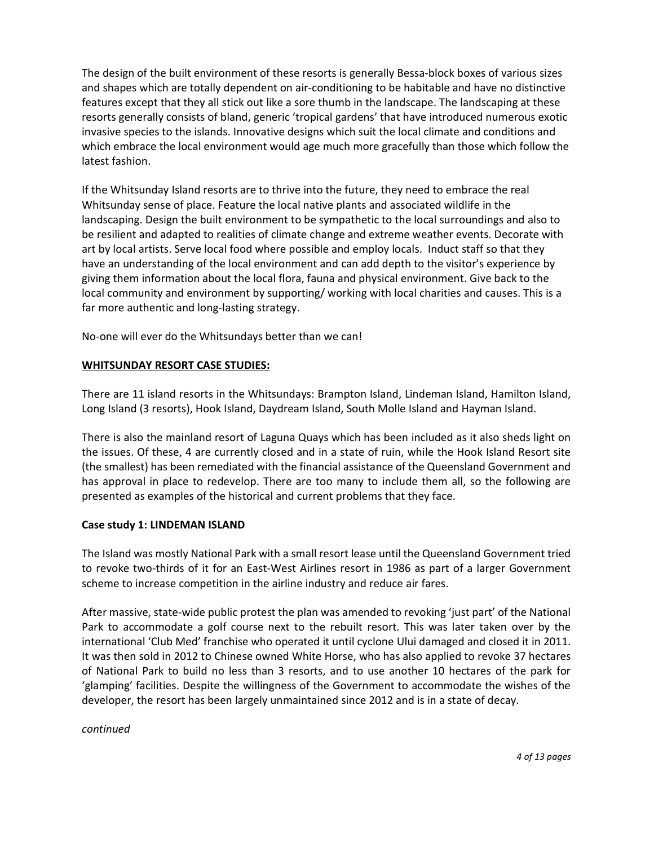The design of the built environment of these resorts is generally Bessa-block boxes of various sizes and shapes which are totally dependent on air-conditioning to be habitable and have no distinctive features except that they all stick out like a sore thumb in the landscape. The landscaping at these resorts generally consists of bland, generic 'tropical gardens' that have introduced numerous exotic invasive species to the islands. Innovative designs which suit the local climate and conditions and which embrace the local environment would age much more gracefully than those which follow the latest fashion.

If the Whitsunday Island resorts are to thrive into the future, they need to embrace the real Whitsunday sense of place. Feature the local native plants and associated wildlife in the landscaping. Design the built environment to be sympathetic to the local surroundings and also to be resilient and adapted to realities of climate change and extreme weather events. Decorate with art by local artists. Serve local food where possible and employ locals. Induct staff so that they have an understanding of the local environment and can add depth to the visitor's experience by giving them information about the local flora, fauna and physical environment. Give back to the local community and environment by supporting/ working with local charities and causes. This is a far more authentic and long-lasting strategy.

No-one will ever do the Whitsundays better than we can!

## WHITSUNDAY RESORT CASE STUDIES:

There are 11 island resorts in the Whitsundays: Brampton Island, Lindeman Island, Hamilton Island, Long Island (3 resorts), Hook Island, Daydream Island, South Molle Island and Hayman Island.

There is also the mainland resort of Laguna Quays which has been included as it also sheds light on the issues. Of these, 4 are currently closed and in a state of ruin, while the Hook Island Resort site (the smallest) has been remediated with the financial assistance of the Queensland Government and has approval in place to redevelop. There are too many to include them all, so the following are presented as examples of the historical and current problems that they face.

## Case study 1: LINDEMAN ISLAND

The Island was mostly National Park with a small resort lease until the Queensland Government tried to revoke two-thirds of it for an East-West Airlines resort in 1986 as part of a larger Government scheme to increase competition in the airline industry and reduce air fares.

After massive, state-wide public protest the plan was amended to revoking 'just part' of the National Park to accommodate a golf course next to the rebuilt resort. This was later taken over by the international 'Club Med' franchise who operated it until cyclone Ului damaged and closed it in 2011. It was then sold in 2012 to Chinese owned White Horse, who has also applied to revoke 37 hectares of National Park to build no less than 3 resorts, and to use another 10 hectares of the park for 'glamping' facilities. Despite the willingness of the Government to accommodate the wishes of the developer, the resort has been largely unmaintained since 2012 and is in a state of decay.

continued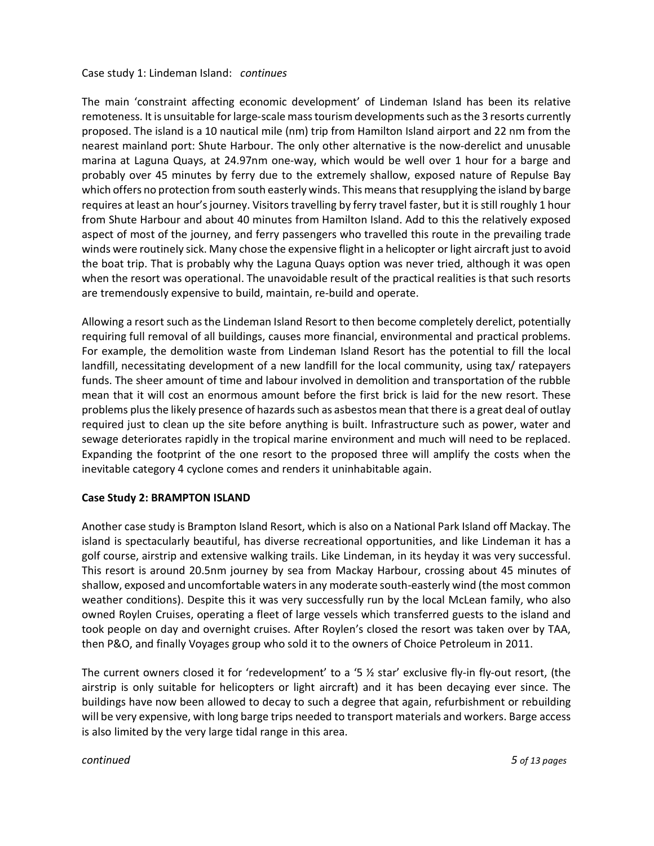### Case study 1: Lindeman Island: continues

The main 'constraint affecting economic development' of Lindeman Island has been its relative remoteness. It is unsuitable for large-scale mass tourism developments such as the 3 resorts currently proposed. The island is a 10 nautical mile (nm) trip from Hamilton Island airport and 22 nm from the nearest mainland port: Shute Harbour. The only other alternative is the now-derelict and unusable marina at Laguna Quays, at 24.97nm one-way, which would be well over 1 hour for a barge and probably over 45 minutes by ferry due to the extremely shallow, exposed nature of Repulse Bay which offers no protection from south easterly winds. This means that resupplying the island by barge requires at least an hour's journey. Visitors travelling by ferry travel faster, but it is still roughly 1 hour from Shute Harbour and about 40 minutes from Hamilton Island. Add to this the relatively exposed aspect of most of the journey, and ferry passengers who travelled this route in the prevailing trade winds were routinely sick. Many chose the expensive flight in a helicopter or light aircraft just to avoid the boat trip. That is probably why the Laguna Quays option was never tried, although it was open when the resort was operational. The unavoidable result of the practical realities is that such resorts are tremendously expensive to build, maintain, re-build and operate.

Allowing a resort such as the Lindeman Island Resort to then become completely derelict, potentially requiring full removal of all buildings, causes more financial, environmental and practical problems. For example, the demolition waste from Lindeman Island Resort has the potential to fill the local landfill, necessitating development of a new landfill for the local community, using tax/ ratepayers funds. The sheer amount of time and labour involved in demolition and transportation of the rubble mean that it will cost an enormous amount before the first brick is laid for the new resort. These problems plus the likely presence of hazards such as asbestos mean that there is a great deal of outlay required just to clean up the site before anything is built. Infrastructure such as power, water and sewage deteriorates rapidly in the tropical marine environment and much will need to be replaced. Expanding the footprint of the one resort to the proposed three will amplify the costs when the inevitable category 4 cyclone comes and renders it uninhabitable again.

## Case Study 2: BRAMPTON ISLAND

Another case study is Brampton Island Resort, which is also on a National Park Island off Mackay. The island is spectacularly beautiful, has diverse recreational opportunities, and like Lindeman it has a golf course, airstrip and extensive walking trails. Like Lindeman, in its heyday it was very successful. This resort is around 20.5nm journey by sea from Mackay Harbour, crossing about 45 minutes of shallow, exposed and uncomfortable waters in any moderate south-easterly wind (the most common weather conditions). Despite this it was very successfully run by the local McLean family, who also owned Roylen Cruises, operating a fleet of large vessels which transferred guests to the island and took people on day and overnight cruises. After Roylen's closed the resort was taken over by TAA, then P&O, and finally Voyages group who sold it to the owners of Choice Petroleum in 2011.

The current owners closed it for 'redevelopment' to a '5 ½ star' exclusive fly-in fly-out resort, (the airstrip is only suitable for helicopters or light aircraft) and it has been decaying ever since. The buildings have now been allowed to decay to such a degree that again, refurbishment or rebuilding will be very expensive, with long barge trips needed to transport materials and workers. Barge access is also limited by the very large tidal range in this area.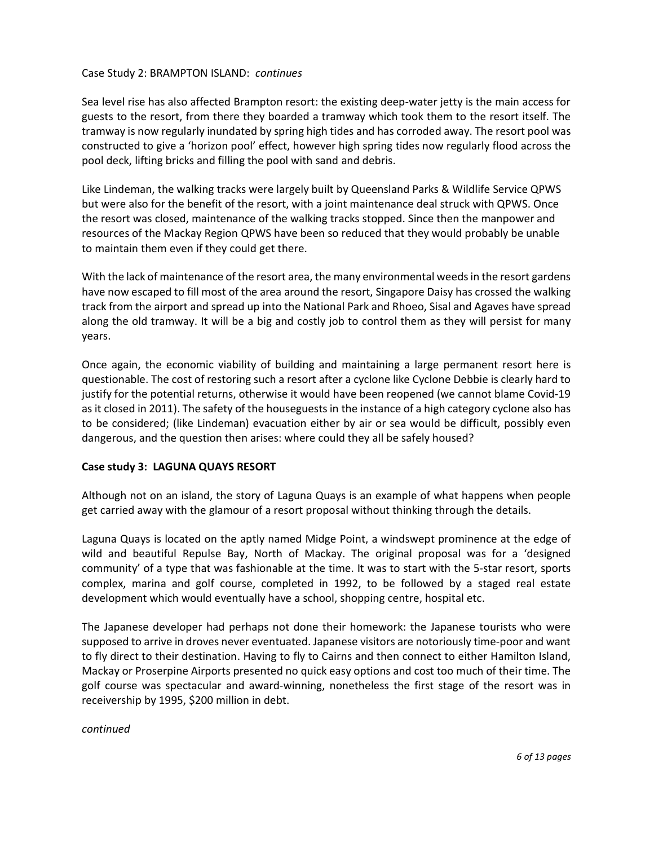## Case Study 2: BRAMPTON ISLAND: continues

Sea level rise has also affected Brampton resort: the existing deep-water jetty is the main access for guests to the resort, from there they boarded a tramway which took them to the resort itself. The tramway is now regularly inundated by spring high tides and has corroded away. The resort pool was constructed to give a 'horizon pool' effect, however high spring tides now regularly flood across the pool deck, lifting bricks and filling the pool with sand and debris.

Like Lindeman, the walking tracks were largely built by Queensland Parks & Wildlife Service QPWS but were also for the benefit of the resort, with a joint maintenance deal struck with QPWS. Once the resort was closed, maintenance of the walking tracks stopped. Since then the manpower and resources of the Mackay Region QPWS have been so reduced that they would probably be unable to maintain them even if they could get there.

With the lack of maintenance of the resort area, the many environmental weeds in the resort gardens have now escaped to fill most of the area around the resort, Singapore Daisy has crossed the walking track from the airport and spread up into the National Park and Rhoeo, Sisal and Agaves have spread along the old tramway. It will be a big and costly job to control them as they will persist for many years.

Once again, the economic viability of building and maintaining a large permanent resort here is questionable. The cost of restoring such a resort after a cyclone like Cyclone Debbie is clearly hard to justify for the potential returns, otherwise it would have been reopened (we cannot blame Covid-19 as it closed in 2011). The safety of the houseguests in the instance of a high category cyclone also has to be considered; (like Lindeman) evacuation either by air or sea would be difficult, possibly even dangerous, and the question then arises: where could they all be safely housed?

#### Case study 3: LAGUNA QUAYS RESORT

Although not on an island, the story of Laguna Quays is an example of what happens when people get carried away with the glamour of a resort proposal without thinking through the details.

Laguna Quays is located on the aptly named Midge Point, a windswept prominence at the edge of wild and beautiful Repulse Bay, North of Mackay. The original proposal was for a 'designed community' of a type that was fashionable at the time. It was to start with the 5-star resort, sports complex, marina and golf course, completed in 1992, to be followed by a staged real estate development which would eventually have a school, shopping centre, hospital etc.

The Japanese developer had perhaps not done their homework: the Japanese tourists who were supposed to arrive in droves never eventuated. Japanese visitors are notoriously time-poor and want to fly direct to their destination. Having to fly to Cairns and then connect to either Hamilton Island, Mackay or Proserpine Airports presented no quick easy options and cost too much of their time. The golf course was spectacular and award-winning, nonetheless the first stage of the resort was in receivership by 1995, \$200 million in debt.

continued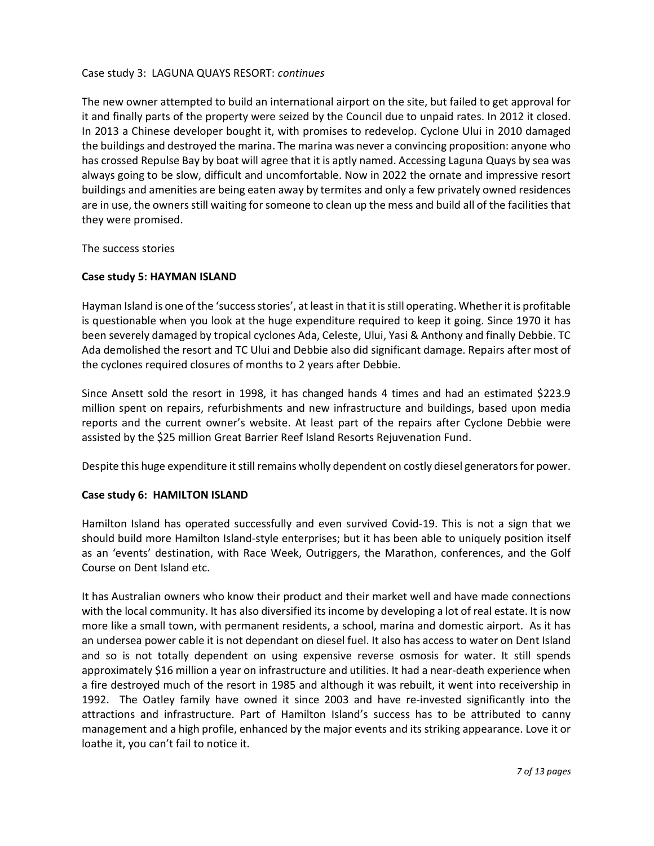#### Case study 3: LAGUNA QUAYS RESORT: continues

The new owner attempted to build an international airport on the site, but failed to get approval for it and finally parts of the property were seized by the Council due to unpaid rates. In 2012 it closed. In 2013 a Chinese developer bought it, with promises to redevelop. Cyclone Ului in 2010 damaged the buildings and destroyed the marina. The marina was never a convincing proposition: anyone who has crossed Repulse Bay by boat will agree that it is aptly named. Accessing Laguna Quays by sea was always going to be slow, difficult and uncomfortable. Now in 2022 the ornate and impressive resort buildings and amenities are being eaten away by termites and only a few privately owned residences are in use, the owners still waiting for someone to clean up the mess and build all of the facilities that they were promised.

The success stories

#### Case study 5: HAYMAN ISLAND

Hayman Island is one of the 'success stories', at least in that it is still operating. Whether it is profitable is questionable when you look at the huge expenditure required to keep it going. Since 1970 it has been severely damaged by tropical cyclones Ada, Celeste, Ului, Yasi & Anthony and finally Debbie. TC Ada demolished the resort and TC Ului and Debbie also did significant damage. Repairs after most of the cyclones required closures of months to 2 years after Debbie.

Since Ansett sold the resort in 1998, it has changed hands 4 times and had an estimated \$223.9 million spent on repairs, refurbishments and new infrastructure and buildings, based upon media reports and the current owner's website. At least part of the repairs after Cyclone Debbie were assisted by the \$25 million Great Barrier Reef Island Resorts Rejuvenation Fund.

Despite this huge expenditure it still remains wholly dependent on costly diesel generators for power.

#### Case study 6: HAMILTON ISLAND

Hamilton Island has operated successfully and even survived Covid-19. This is not a sign that we should build more Hamilton Island-style enterprises; but it has been able to uniquely position itself as an 'events' destination, with Race Week, Outriggers, the Marathon, conferences, and the Golf Course on Dent Island etc.

It has Australian owners who know their product and their market well and have made connections with the local community. It has also diversified its income by developing a lot of real estate. It is now more like a small town, with permanent residents, a school, marina and domestic airport. As it has an undersea power cable it is not dependant on diesel fuel. It also has access to water on Dent Island and so is not totally dependent on using expensive reverse osmosis for water. It still spends approximately \$16 million a year on infrastructure and utilities. It had a near-death experience when a fire destroyed much of the resort in 1985 and although it was rebuilt, it went into receivership in 1992. The Oatley family have owned it since 2003 and have re-invested significantly into the attractions and infrastructure. Part of Hamilton Island's success has to be attributed to canny management and a high profile, enhanced by the major events and its striking appearance. Love it or loathe it, you can't fail to notice it.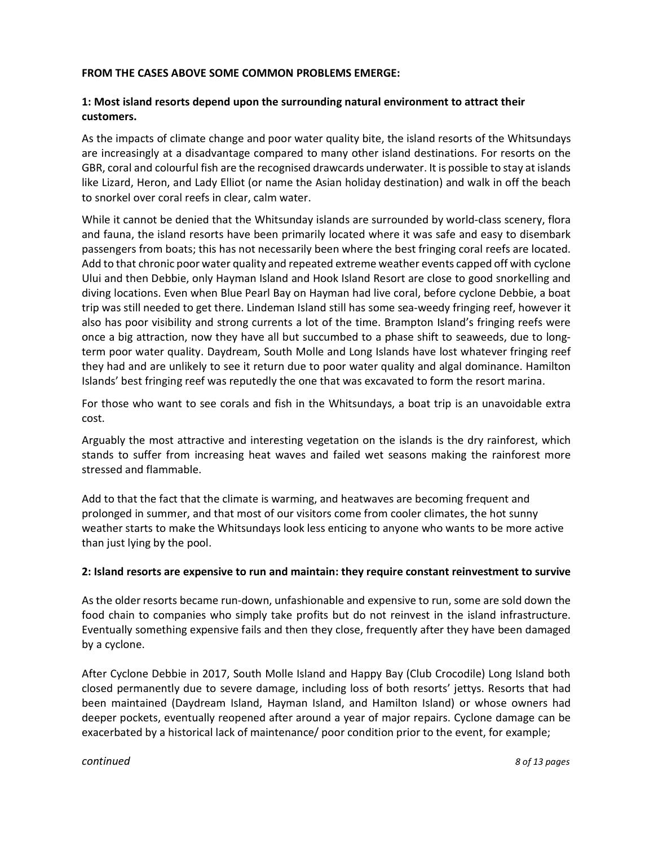## FROM THE CASES ABOVE SOME COMMON PROBLEMS EMERGE:

## 1: Most island resorts depend upon the surrounding natural environment to attract their customers.

As the impacts of climate change and poor water quality bite, the island resorts of the Whitsundays are increasingly at a disadvantage compared to many other island destinations. For resorts on the GBR, coral and colourful fish are the recognised drawcards underwater. It is possible to stay at islands like Lizard, Heron, and Lady Elliot (or name the Asian holiday destination) and walk in off the beach to snorkel over coral reefs in clear, calm water.

While it cannot be denied that the Whitsunday islands are surrounded by world-class scenery, flora and fauna, the island resorts have been primarily located where it was safe and easy to disembark passengers from boats; this has not necessarily been where the best fringing coral reefs are located. Add to that chronic poor water quality and repeated extreme weather events capped off with cyclone Ului and then Debbie, only Hayman Island and Hook Island Resort are close to good snorkelling and diving locations. Even when Blue Pearl Bay on Hayman had live coral, before cyclone Debbie, a boat trip was still needed to get there. Lindeman Island still has some sea-weedy fringing reef, however it also has poor visibility and strong currents a lot of the time. Brampton Island's fringing reefs were once a big attraction, now they have all but succumbed to a phase shift to seaweeds, due to longterm poor water quality. Daydream, South Molle and Long Islands have lost whatever fringing reef they had and are unlikely to see it return due to poor water quality and algal dominance. Hamilton Islands' best fringing reef was reputedly the one that was excavated to form the resort marina.

For those who want to see corals and fish in the Whitsundays, a boat trip is an unavoidable extra cost.

Arguably the most attractive and interesting vegetation on the islands is the dry rainforest, which stands to suffer from increasing heat waves and failed wet seasons making the rainforest more stressed and flammable.

Add to that the fact that the climate is warming, and heatwaves are becoming frequent and prolonged in summer, and that most of our visitors come from cooler climates, the hot sunny weather starts to make the Whitsundays look less enticing to anyone who wants to be more active than just lying by the pool.

## 2: Island resorts are expensive to run and maintain: they require constant reinvestment to survive

As the older resorts became run-down, unfashionable and expensive to run, some are sold down the food chain to companies who simply take profits but do not reinvest in the island infrastructure. Eventually something expensive fails and then they close, frequently after they have been damaged by a cyclone.

After Cyclone Debbie in 2017, South Molle Island and Happy Bay (Club Crocodile) Long Island both closed permanently due to severe damage, including loss of both resorts' jettys. Resorts that had been maintained (Daydream Island, Hayman Island, and Hamilton Island) or whose owners had deeper pockets, eventually reopened after around a year of major repairs. Cyclone damage can be exacerbated by a historical lack of maintenance/ poor condition prior to the event, for example;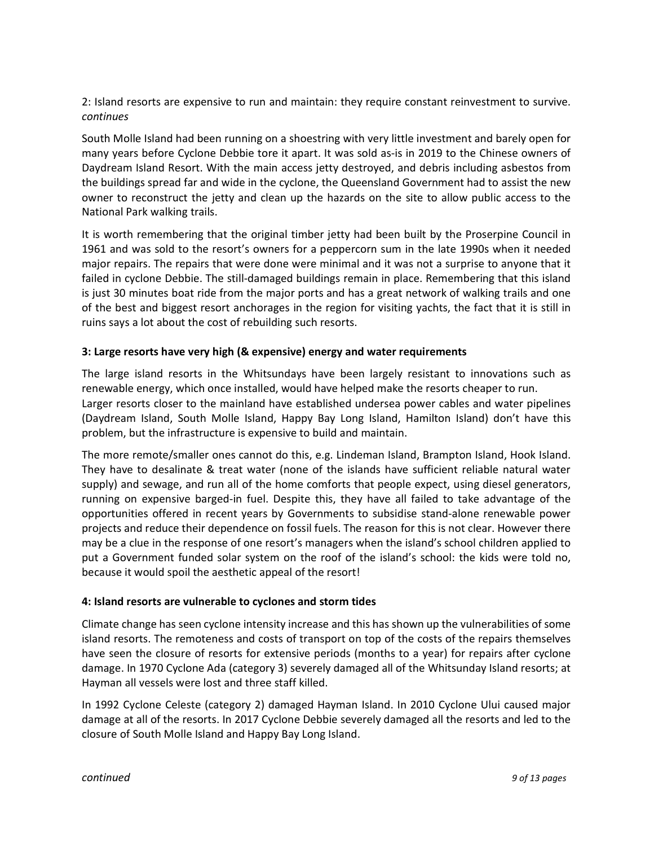2: Island resorts are expensive to run and maintain: they require constant reinvestment to survive. continues

South Molle Island had been running on a shoestring with very little investment and barely open for many years before Cyclone Debbie tore it apart. It was sold as-is in 2019 to the Chinese owners of Daydream Island Resort. With the main access jetty destroyed, and debris including asbestos from the buildings spread far and wide in the cyclone, the Queensland Government had to assist the new owner to reconstruct the jetty and clean up the hazards on the site to allow public access to the National Park walking trails.

It is worth remembering that the original timber jetty had been built by the Proserpine Council in 1961 and was sold to the resort's owners for a peppercorn sum in the late 1990s when it needed major repairs. The repairs that were done were minimal and it was not a surprise to anyone that it failed in cyclone Debbie. The still-damaged buildings remain in place. Remembering that this island is just 30 minutes boat ride from the major ports and has a great network of walking trails and one of the best and biggest resort anchorages in the region for visiting yachts, the fact that it is still in ruins says a lot about the cost of rebuilding such resorts.

## 3: Large resorts have very high (& expensive) energy and water requirements

The large island resorts in the Whitsundays have been largely resistant to innovations such as renewable energy, which once installed, would have helped make the resorts cheaper to run. Larger resorts closer to the mainland have established undersea power cables and water pipelines (Daydream Island, South Molle Island, Happy Bay Long Island, Hamilton Island) don't have this problem, but the infrastructure is expensive to build and maintain.

The more remote/smaller ones cannot do this, e.g. Lindeman Island, Brampton Island, Hook Island. They have to desalinate & treat water (none of the islands have sufficient reliable natural water supply) and sewage, and run all of the home comforts that people expect, using diesel generators, running on expensive barged-in fuel. Despite this, they have all failed to take advantage of the opportunities offered in recent years by Governments to subsidise stand-alone renewable power projects and reduce their dependence on fossil fuels. The reason for this is not clear. However there may be a clue in the response of one resort's managers when the island's school children applied to put a Government funded solar system on the roof of the island's school: the kids were told no, because it would spoil the aesthetic appeal of the resort!

## 4: Island resorts are vulnerable to cyclones and storm tides

Climate change has seen cyclone intensity increase and this has shown up the vulnerabilities of some island resorts. The remoteness and costs of transport on top of the costs of the repairs themselves have seen the closure of resorts for extensive periods (months to a year) for repairs after cyclone damage. In 1970 Cyclone Ada (category 3) severely damaged all of the Whitsunday Island resorts; at Hayman all vessels were lost and three staff killed.

In 1992 Cyclone Celeste (category 2) damaged Hayman Island. In 2010 Cyclone Ului caused major damage at all of the resorts. In 2017 Cyclone Debbie severely damaged all the resorts and led to the closure of South Molle Island and Happy Bay Long Island.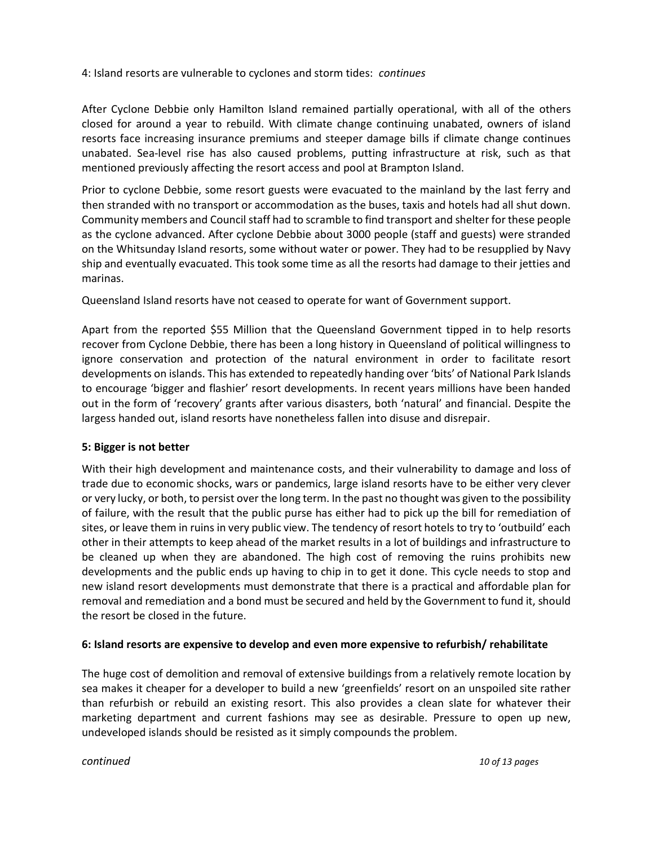## 4: Island resorts are vulnerable to cyclones and storm tides: continues

After Cyclone Debbie only Hamilton Island remained partially operational, with all of the others closed for around a year to rebuild. With climate change continuing unabated, owners of island resorts face increasing insurance premiums and steeper damage bills if climate change continues unabated. Sea-level rise has also caused problems, putting infrastructure at risk, such as that mentioned previously affecting the resort access and pool at Brampton Island.

Prior to cyclone Debbie, some resort guests were evacuated to the mainland by the last ferry and then stranded with no transport or accommodation as the buses, taxis and hotels had all shut down. Community members and Council staff had to scramble to find transport and shelter for these people as the cyclone advanced. After cyclone Debbie about 3000 people (staff and guests) were stranded on the Whitsunday Island resorts, some without water or power. They had to be resupplied by Navy ship and eventually evacuated. This took some time as all the resorts had damage to their jetties and marinas.

Queensland Island resorts have not ceased to operate for want of Government support.

Apart from the reported \$55 Million that the Queensland Government tipped in to help resorts recover from Cyclone Debbie, there has been a long history in Queensland of political willingness to ignore conservation and protection of the natural environment in order to facilitate resort developments on islands. This has extended to repeatedly handing over 'bits' of National Park Islands to encourage 'bigger and flashier' resort developments. In recent years millions have been handed out in the form of 'recovery' grants after various disasters, both 'natural' and financial. Despite the largess handed out, island resorts have nonetheless fallen into disuse and disrepair.

## 5: Bigger is not better

With their high development and maintenance costs, and their vulnerability to damage and loss of trade due to economic shocks, wars or pandemics, large island resorts have to be either very clever or very lucky, or both, to persist over the long term. In the past no thought was given to the possibility of failure, with the result that the public purse has either had to pick up the bill for remediation of sites, or leave them in ruins in very public view. The tendency of resort hotels to try to 'outbuild' each other in their attempts to keep ahead of the market results in a lot of buildings and infrastructure to be cleaned up when they are abandoned. The high cost of removing the ruins prohibits new developments and the public ends up having to chip in to get it done. This cycle needs to stop and new island resort developments must demonstrate that there is a practical and affordable plan for removal and remediation and a bond must be secured and held by the Government to fund it, should the resort be closed in the future.

## 6: Island resorts are expensive to develop and even more expensive to refurbish/ rehabilitate

The huge cost of demolition and removal of extensive buildings from a relatively remote location by sea makes it cheaper for a developer to build a new 'greenfields' resort on an unspoiled site rather than refurbish or rebuild an existing resort. This also provides a clean slate for whatever their marketing department and current fashions may see as desirable. Pressure to open up new, undeveloped islands should be resisted as it simply compounds the problem.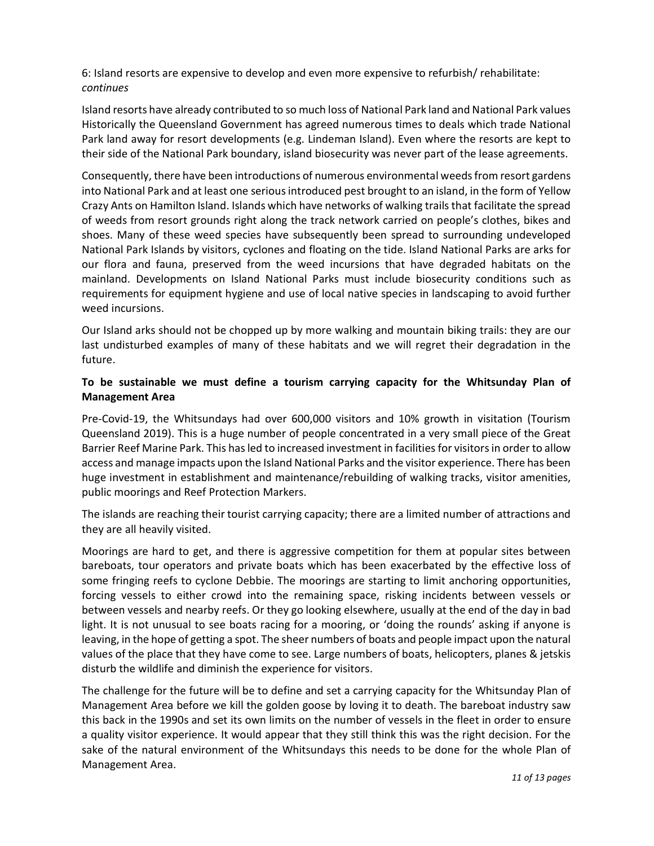6: Island resorts are expensive to develop and even more expensive to refurbish/ rehabilitate: continues

Island resorts have already contributed to so much loss of National Park land and National Park values Historically the Queensland Government has agreed numerous times to deals which trade National Park land away for resort developments (e.g. Lindeman Island). Even where the resorts are kept to their side of the National Park boundary, island biosecurity was never part of the lease agreements.

Consequently, there have been introductions of numerous environmental weeds from resort gardens into National Park and at least one serious introduced pest brought to an island, in the form of Yellow Crazy Ants on Hamilton Island. Islands which have networks of walking trails that facilitate the spread of weeds from resort grounds right along the track network carried on people's clothes, bikes and shoes. Many of these weed species have subsequently been spread to surrounding undeveloped National Park Islands by visitors, cyclones and floating on the tide. Island National Parks are arks for our flora and fauna, preserved from the weed incursions that have degraded habitats on the mainland. Developments on Island National Parks must include biosecurity conditions such as requirements for equipment hygiene and use of local native species in landscaping to avoid further weed incursions.

Our Island arks should not be chopped up by more walking and mountain biking trails: they are our last undisturbed examples of many of these habitats and we will regret their degradation in the future.

## To be sustainable we must define a tourism carrying capacity for the Whitsunday Plan of Management Area

Pre-Covid-19, the Whitsundays had over 600,000 visitors and 10% growth in visitation (Tourism Queensland 2019). This is a huge number of people concentrated in a very small piece of the Great Barrier Reef Marine Park. This has led to increased investment in facilities for visitors in order to allow access and manage impacts upon the Island National Parks and the visitor experience. There has been huge investment in establishment and maintenance/rebuilding of walking tracks, visitor amenities, public moorings and Reef Protection Markers.

The islands are reaching their tourist carrying capacity; there are a limited number of attractions and they are all heavily visited.

Moorings are hard to get, and there is aggressive competition for them at popular sites between bareboats, tour operators and private boats which has been exacerbated by the effective loss of some fringing reefs to cyclone Debbie. The moorings are starting to limit anchoring opportunities, forcing vessels to either crowd into the remaining space, risking incidents between vessels or between vessels and nearby reefs. Or they go looking elsewhere, usually at the end of the day in bad light. It is not unusual to see boats racing for a mooring, or 'doing the rounds' asking if anyone is leaving, in the hope of getting a spot. The sheer numbers of boats and people impact upon the natural values of the place that they have come to see. Large numbers of boats, helicopters, planes & jetskis disturb the wildlife and diminish the experience for visitors.

The challenge for the future will be to define and set a carrying capacity for the Whitsunday Plan of Management Area before we kill the golden goose by loving it to death. The bareboat industry saw this back in the 1990s and set its own limits on the number of vessels in the fleet in order to ensure a quality visitor experience. It would appear that they still think this was the right decision. For the sake of the natural environment of the Whitsundays this needs to be done for the whole Plan of Management Area.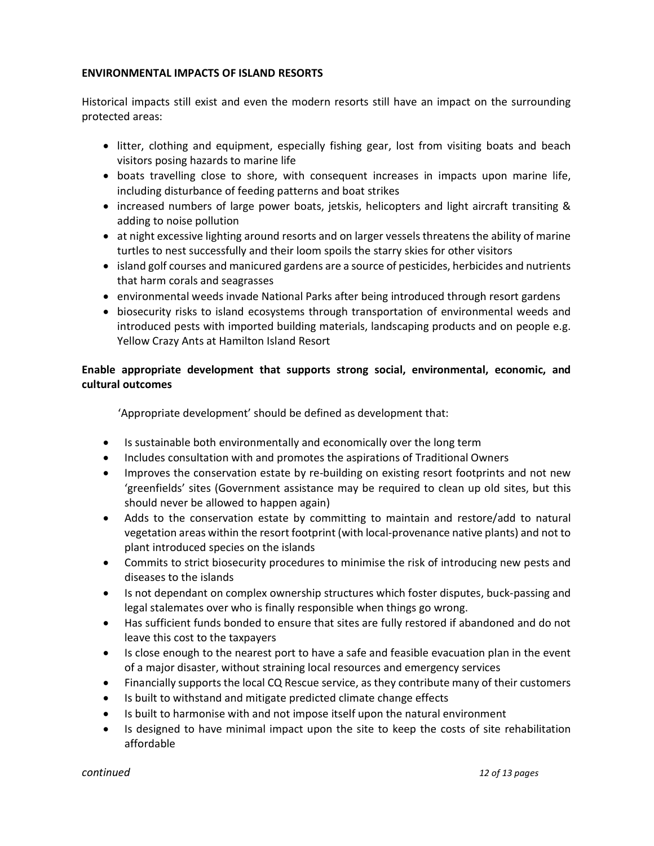## ENVIRONMENTAL IMPACTS OF ISLAND RESORTS

Historical impacts still exist and even the modern resorts still have an impact on the surrounding protected areas:

- litter, clothing and equipment, especially fishing gear, lost from visiting boats and beach visitors posing hazards to marine life
- boats travelling close to shore, with consequent increases in impacts upon marine life, including disturbance of feeding patterns and boat strikes
- increased numbers of large power boats, jetskis, helicopters and light aircraft transiting & adding to noise pollution
- at night excessive lighting around resorts and on larger vessels threatens the ability of marine turtles to nest successfully and their loom spoils the starry skies for other visitors
- island golf courses and manicured gardens are a source of pesticides, herbicides and nutrients that harm corals and seagrasses
- environmental weeds invade National Parks after being introduced through resort gardens
- biosecurity risks to island ecosystems through transportation of environmental weeds and introduced pests with imported building materials, landscaping products and on people e.g. Yellow Crazy Ants at Hamilton Island Resort

# Enable appropriate development that supports strong social, environmental, economic, and cultural outcomes

'Appropriate development' should be defined as development that:

- Is sustainable both environmentally and economically over the long term
- Includes consultation with and promotes the aspirations of Traditional Owners
- Improves the conservation estate by re-building on existing resort footprints and not new 'greenfields' sites (Government assistance may be required to clean up old sites, but this should never be allowed to happen again)
- Adds to the conservation estate by committing to maintain and restore/add to natural vegetation areas within the resort footprint (with local-provenance native plants) and not to plant introduced species on the islands
- Commits to strict biosecurity procedures to minimise the risk of introducing new pests and diseases to the islands
- Is not dependant on complex ownership structures which foster disputes, buck-passing and legal stalemates over who is finally responsible when things go wrong.
- Has sufficient funds bonded to ensure that sites are fully restored if abandoned and do not leave this cost to the taxpayers
- Is close enough to the nearest port to have a safe and feasible evacuation plan in the event of a major disaster, without straining local resources and emergency services
- Financially supports the local CQ Rescue service, as they contribute many of their customers
- Is built to withstand and mitigate predicted climate change effects
- Is built to harmonise with and not impose itself upon the natural environment
- Is designed to have minimal impact upon the site to keep the costs of site rehabilitation affordable